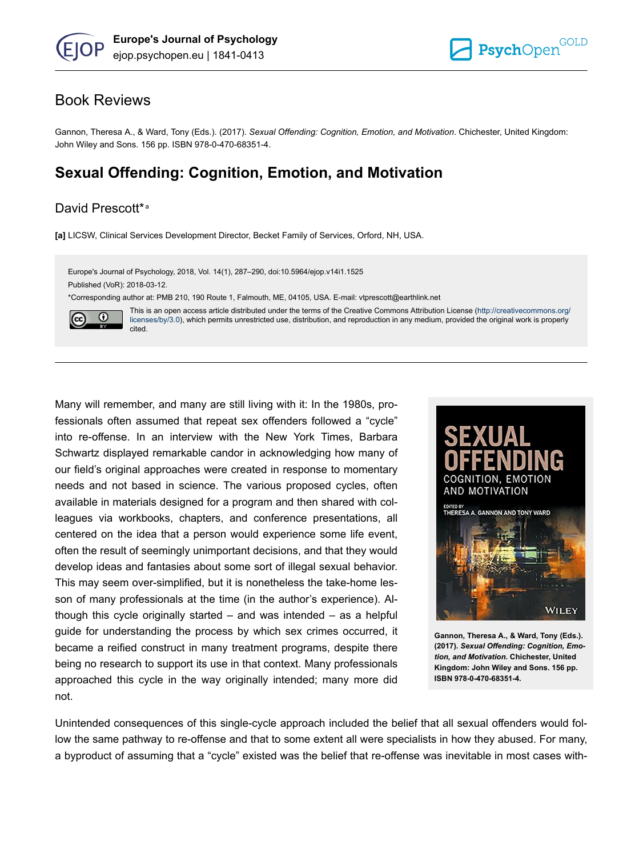# Book Reviews

Gannon, Theresa A., & Ward, Tony (Eds.). (2017). *Sexual Offending: Cognition, Emotion, and Motivation*. Chichester, United Kingdom: John Wiley and Sons. 156 pp. ISBN 978-0-470-68351-4.

> This is an open access article distributed under the terms of the Creative Commons Attribution License [\(http://creativecommons.org/](http://creativecommons.org/licenses/by/3.0) [licenses/by/3.0\)](http://creativecommons.org/licenses/by/3.0), which permits unrestricted use, distribution, and reproduction in any medium, provided the original work is properly

# **Sexual Offending: Cognition, Emotion, and Motivation**

## David Prescott\*<sup>a</sup>

**[a]** LICSW, Clinical Services Development Director, Becket Family of Services, Orford, NH, USA.

Europe's Journal of Psychology, 2018, Vol. 14(1), 287–290, doi:10.5964/ejop.v14i1.1525 Published (VoR): 2018-03-12.

\*Corresponding author at: PMB 210, 190 Route 1, Falmouth, ME, 04105, USA. E-mail: vtprescott@earthlink.net



cited.

Many will remember, and many are still living with it: In the 1980s, professionals often assumed that repeat sex offenders followed a "cycle" into re-offense. In an interview with the New York Times, Barbara Schwartz displayed remarkable candor in acknowledging how many of our field's original approaches were created in response to momentary needs and not based in science. The various proposed cycles, often available in materials designed for a program and then shared with colleagues via workbooks, chapters, and conference presentations, all centered on the idea that a person would experience some life event, often the result of seemingly unimportant decisions, and that they would develop ideas and fantasies about some sort of illegal sexual behavior. This may seem over-simplified, but it is nonetheless the take-home lesson of many professionals at the time (in the author's experience). Although this cycle originally started  $-$  and was intended  $-$  as a helpful guide for understanding the process by which sex crimes occurred, it became a reified construct in many treatment programs, despite there being no research to support its use in that context. Many professionals approached this cycle in the way originally intended; many more did not.



**Gannon, Theresa A., & Ward, Tony (Eds.). (2017).** *Sexual Offending: Cognition, Emotion, and Motivation***. Chichester, United Kingdom: John Wiley and Sons. 156 pp. ISBN 978-0-470-68351-4.**

Unintended consequences of this single-cycle approach included the belief that all sexual offenders would follow the same pathway to re-offense and that to some extent all were specialists in how they abused. For many, a byproduct of assuming that a "cycle" existed was the belief that re-offense was inevitable in most cases with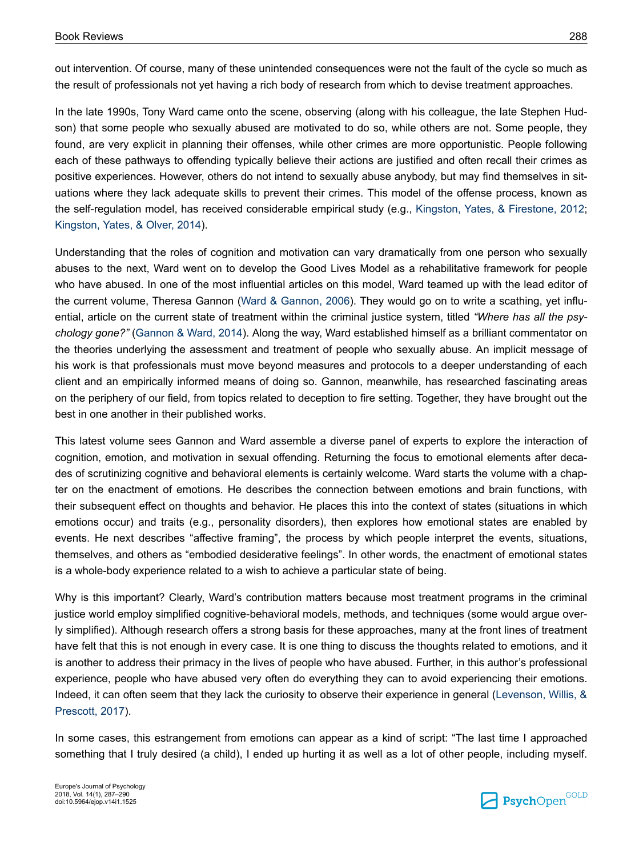out intervention. Of course, many of these unintended consequences were not the fault of the cycle so much as the result of professionals not yet having a rich body of research from which to devise treatment approaches.

In the late 1990s, Tony Ward came onto the scene, observing (along with his colleague, the late Stephen Hudson) that some people who sexually abused are motivated to do so, while others are not. Some people, they found, are very explicit in planning their offenses, while other crimes are more opportunistic. People following each of these pathways to offending typically believe their actions are justified and often recall their crimes as positive experiences. However, others do not intend to sexually abuse anybody, but may find themselves in situations where they lack adequate skills to prevent their crimes. This model of the offense process, known as the self-regulation model, has received considerable empirical study (e.g., [Kingston, Yates, & Firestone, 2012](#page-2-0); [Kingston, Yates, & Olver, 2014](#page-2-0)).

Understanding that the roles of cognition and motivation can vary dramatically from one person who sexually abuses to the next, Ward went on to develop the Good Lives Model as a rehabilitative framework for people who have abused. In one of the most influential articles on this model, Ward teamed up with the lead editor of the current volume, Theresa Gannon [\(Ward & Gannon, 2006](#page-3-0)). They would go on to write a scathing, yet influential, article on the current state of treatment within the criminal justice system, titled *"Where has all the psychology gone?"* ([Gannon & Ward, 2014\)](#page-2-0). Along the way, Ward established himself as a brilliant commentator on the theories underlying the assessment and treatment of people who sexually abuse. An implicit message of his work is that professionals must move beyond measures and protocols to a deeper understanding of each client and an empirically informed means of doing so. Gannon, meanwhile, has researched fascinating areas on the periphery of our field, from topics related to deception to fire setting. Together, they have brought out the best in one another in their published works.

This latest volume sees Gannon and Ward assemble a diverse panel of experts to explore the interaction of cognition, emotion, and motivation in sexual offending. Returning the focus to emotional elements after decades of scrutinizing cognitive and behavioral elements is certainly welcome. Ward starts the volume with a chapter on the enactment of emotions. He describes the connection between emotions and brain functions, with their subsequent effect on thoughts and behavior. He places this into the context of states (situations in which emotions occur) and traits (e.g., personality disorders), then explores how emotional states are enabled by events. He next describes "affective framing", the process by which people interpret the events, situations, themselves, and others as "embodied desiderative feelings". In other words, the enactment of emotional states is a whole-body experience related to a wish to achieve a particular state of being.

Why is this important? Clearly, Ward's contribution matters because most treatment programs in the criminal justice world employ simplified cognitive-behavioral models, methods, and techniques (some would argue overly simplified). Although research offers a strong basis for these approaches, many at the front lines of treatment have felt that this is not enough in every case. It is one thing to discuss the thoughts related to emotions, and it is another to address their primacy in the lives of people who have abused. Further, in this author's professional experience, people who have abused very often do everything they can to avoid experiencing their emotions. Indeed, it can often seem that they lack the curiosity to observe their experience in general ([Levenson, Willis, &](#page-3-0) [Prescott, 2017\)](#page-3-0).

In some cases, this estrangement from emotions can appear as a kind of script: "The last time I approached something that I truly desired (a child), I ended up hurting it as well as a lot of other people, including myself.

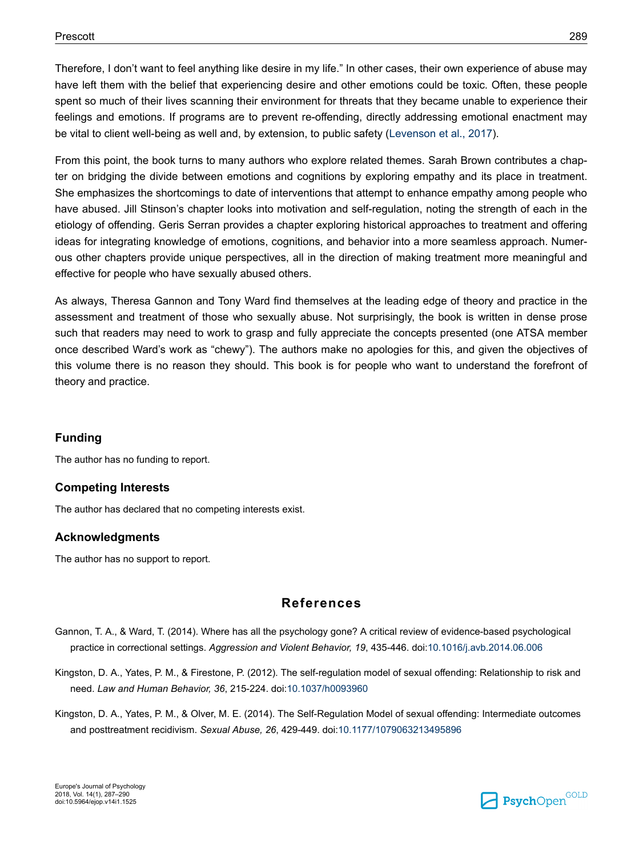<span id="page-2-0"></span>Therefore, I don't want to feel anything like desire in my life." In other cases, their own experience of abuse may have left them with the belief that experiencing desire and other emotions could be toxic. Often, these people spent so much of their lives scanning their environment for threats that they became unable to experience their feelings and emotions. If programs are to prevent re-offending, directly addressing emotional enactment may be vital to client well-being as well and, by extension, to public safety ([Levenson et al., 2017](#page-3-0)).

From this point, the book turns to many authors who explore related themes. Sarah Brown contributes a chapter on bridging the divide between emotions and cognitions by exploring empathy and its place in treatment. She emphasizes the shortcomings to date of interventions that attempt to enhance empathy among people who have abused. Jill Stinson's chapter looks into motivation and self-regulation, noting the strength of each in the etiology of offending. Geris Serran provides a chapter exploring historical approaches to treatment and offering ideas for integrating knowledge of emotions, cognitions, and behavior into a more seamless approach. Numerous other chapters provide unique perspectives, all in the direction of making treatment more meaningful and effective for people who have sexually abused others.

As always, Theresa Gannon and Tony Ward find themselves at the leading edge of theory and practice in the assessment and treatment of those who sexually abuse. Not surprisingly, the book is written in dense prose such that readers may need to work to grasp and fully appreciate the concepts presented (one ATSA member once described Ward's work as "chewy"). The authors make no apologies for this, and given the objectives of this volume there is no reason they should. This book is for people who want to understand the forefront of theory and practice.

#### **Funding**

The author has no funding to report.

#### **Competing Interests**

The author has declared that no competing interests exist.

#### **Acknowledgments**

The author has no support to report.

### **References**

- Gannon, T. A., & Ward, T. (2014). Where has all the psychology gone? A critical review of evidence-based psychological practice in correctional settings. *Aggression and Violent Behavior, 19*, 435-446. doi[:10.1016/j.avb.2014.06.006](http://doi.org/10.1016/j.avb.2014.06.006)
- Kingston, D. A., Yates, P. M., & Firestone, P. (2012). The self-regulation model of sexual offending: Relationship to risk and need. *Law and Human Behavior, 36*, 215-224. doi:[10.1037/h0093960](http://doi.org/10.1037/h0093960)
- Kingston, D. A., Yates, P. M., & Olver, M. E. (2014). The Self-Regulation Model of sexual offending: Intermediate outcomes and posttreatment recidivism. *Sexual Abuse, 26*, 429-449. doi[:10.1177/1079063213495896](http://doi.org/10.1177/1079063213495896)